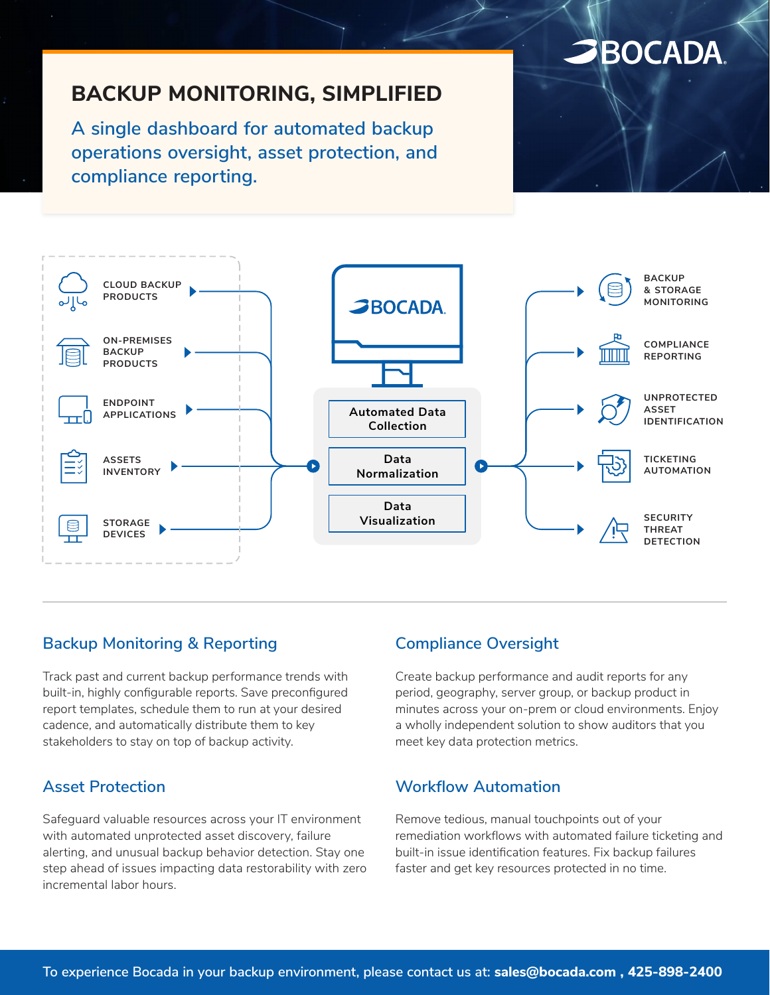# **SBOCADA**

# **BACKUP MONITORING, SIMPLIFIED**

**A single dashboard for automated backup operations oversight, asset protection, and compliance reporting.**



### **Backup Monitoring & Reporting**

Track past and current backup performance trends with built-in, highly configurable reports. Save preconfigured report templates, schedule them to run at your desired cadence, and automatically distribute them to key stakeholders to stay on top of backup activity.

### **Asset Protection**

Safeguard valuable resources across your IT environment with automated unprotected asset discovery, failure alerting, and unusual backup behavior detection. Stay one step ahead of issues impacting data restorability with zero incremental labor hours.

### **Compliance Oversight**

Create backup performance and audit reports for any period, geography, server group, or backup product in minutes across your on-prem or cloud environments. Enjoy a wholly independent solution to show auditors that you meet key data protection metrics.

#### **Workflow Automation**

Remove tedious, manual touchpoints out of your remediation workflows with automated failure ticketing and built-in issue identification features. Fix backup failures faster and get key resources protected in no time.